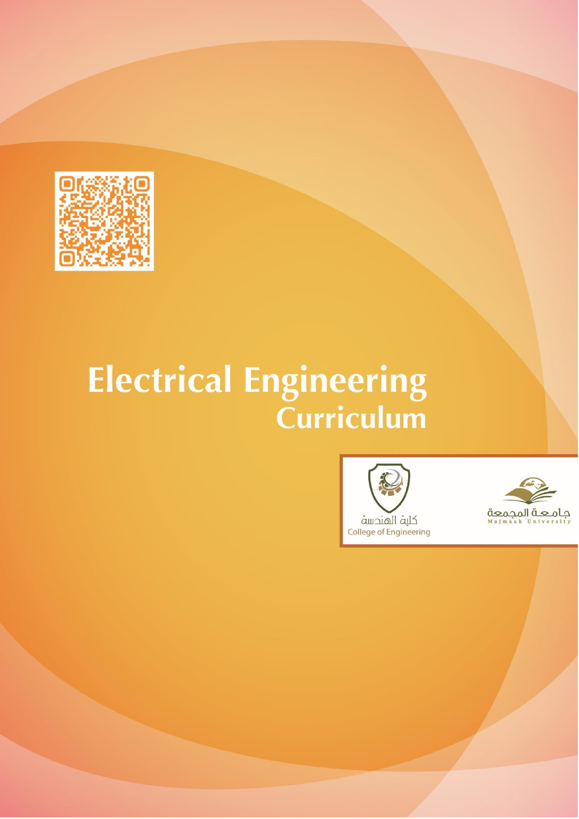

## **Electrical Engineering** Curriculum



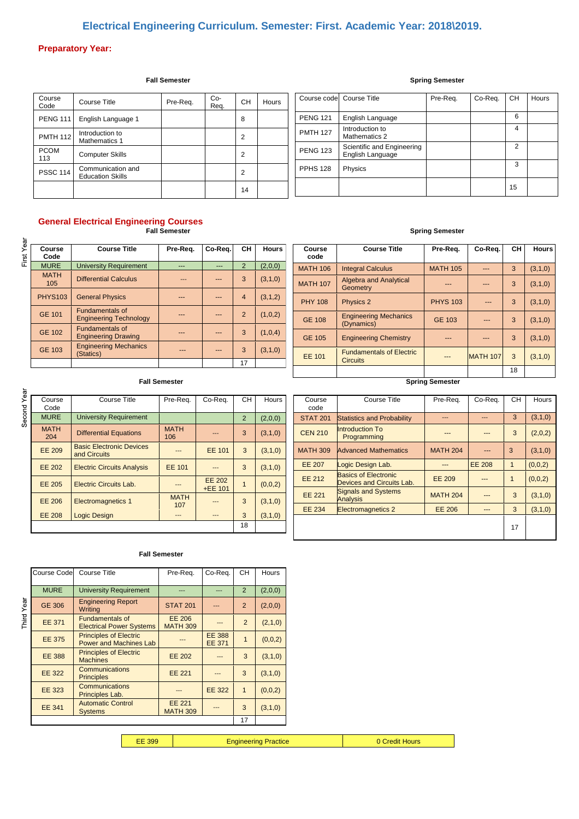## **Electrical Engineering Curriculum. Semester: First. Academic Year: 2018\2019.**

#### **Preparatory Year:**

| Course<br>Code     | Course Title                                 | Pre-Req. | $Co-$<br>Req. | <b>CH</b> | Hours |                 | Course code Course Title                       | Pre-Req. | Co-Req. | <b>CH</b> | Hours |
|--------------------|----------------------------------------------|----------|---------------|-----------|-------|-----------------|------------------------------------------------|----------|---------|-----------|-------|
| <b>PENG 111</b>    | English Language 1                           |          |               | 8         |       | <b>PENG 121</b> | English Language                               |          |         | 6         |       |
| <b>PMTH 112</b>    | Introduction to<br>Mathematics 1             |          |               | 2         |       | <b>PMTH 127</b> | Introduction to<br>Mathematics 2               |          |         | 4         |       |
| <b>PCOM</b><br>113 | <b>Computer Skills</b>                       |          |               | 2         |       | <b>PENG 123</b> | Scientific and Engineering<br>English Language |          |         | ◠         |       |
| <b>PSSC 114</b>    | Communication and<br><b>Education Skills</b> |          |               | 2         |       | <b>PPHS 128</b> | Physics                                        |          |         | 3         |       |
|                    |                                              |          |               | 14        |       |                 |                                                |          |         | 15        |       |
|                    |                                              |          |               |           |       |                 |                                                |          |         |           |       |

#### **General Electrical Engineering Courses Fall Semester Spring Semester**

| Course<br>Code     | <b>Course Title</b>                                     | Pre-Rea. | Co-Rea. | CН             | Hours     |
|--------------------|---------------------------------------------------------|----------|---------|----------------|-----------|
| <b>MURE</b>        | <b>University Requirement</b>                           |          | ---     | $\overline{2}$ | (2,0,0)   |
| <b>MATH</b><br>105 | <b>Differential Calculus</b>                            |          |         | 3              | (3,1,0)   |
| <b>PHYS103</b>     | <b>General Physics</b>                                  |          |         | $\overline{4}$ | (3, 1, 2) |
| <b>GE 101</b>      | <b>Fundamentals of</b><br><b>Engineering Technology</b> |          |         | $\mathcal{P}$  | (1,0,2)   |
| <b>GE 102</b>      | <b>Fundamentals of</b><br><b>Engineering Drawing</b>    |          |         | 3              | (1,0,4)   |
| <b>GE 103</b>      | <b>Engineering Mechanics</b><br>(Statics)               |          |         | 3              | (3,1,0)   |
|                    |                                                         |          |         | 17             |           |

| Course<br>code  | <b>Course Title</b>                                | Pre-Rea.        | Co-Req.         | <b>CH</b> | <b>Hours</b> |
|-----------------|----------------------------------------------------|-----------------|-----------------|-----------|--------------|
| <b>MATH 106</b> | <b>Integral Calculus</b>                           | <b>MATH 105</b> |                 | 3         | (3,1,0)      |
| <b>MATH 107</b> | Algebra and Analytical<br>Geometry                 |                 |                 | 3         | (3,1,0)      |
| <b>PHY 108</b>  | Physics 2                                          | <b>PHYS 103</b> |                 | 3         | (3,1,0)      |
| <b>GE 108</b>   | <b>Engineering Mechanics</b><br>(Dynamics)         | <b>GE 103</b>   |                 | 3         | (3,1,0)      |
| <b>GE 105</b>   | <b>Engineering Chemistry</b>                       |                 |                 | 3         | (3,1,0)      |
| <b>EE 101</b>   | <b>Fundamentals of Electric</b><br><b>Circuits</b> |                 | <b>MATH 107</b> | 3         | (3,1,0)      |
|                 |                                                    |                 |                 | 18        |              |

| Course<br>code  | Course Title                                             | Pre-Req.        | Co-Rea. | <b>CH</b> | <b>Hours</b> |
|-----------------|----------------------------------------------------------|-----------------|---------|-----------|--------------|
| <b>STAT 201</b> | <b>Statistics and Probability</b>                        |                 |         | 3         | (3,1,0)      |
| <b>CEN 210</b>  | Introduction To<br>Programming                           |                 |         | 3         | (2,0,2)      |
| <b>MATH 309</b> | <b>Advanced Mathematics</b>                              | <b>MATH 204</b> |         | 3         | (3,1,0)      |
| <b>EE 207</b>   | Logic Design Lab.                                        |                 | EE 208  | 1         | (0,0,2)      |
| <b>EE 212</b>   | <b>Basics of Electronic</b><br>Devices and Circuits Lab. | <b>EE 209</b>   |         | 1         | (0,0,2)      |
| <b>EE 221</b>   | <b>Signals and Systems</b><br><b>Analysis</b>            | <b>MATH 204</b> |         | 3         | (3,1,0)      |
| <b>EE 234</b>   | <b>Electromagnetics 2</b>                                | EE 206          |         | 3         | (3,1,0)      |
|                 |                                                          |                 |         | 17        |              |

# Second Year

#### **Fall Semester** Spring Semester

| Course<br>Code     | <b>Course Title</b>                             | Pre-Rea.           | Co-Rea.                  | CН | Hours   |
|--------------------|-------------------------------------------------|--------------------|--------------------------|----|---------|
| <b>MURE</b>        | <b>University Requirement</b>                   |                    |                          | 2  | (2,0,0) |
| <b>MATH</b><br>204 | <b>Differential Equations</b>                   | <b>MATH</b><br>106 |                          | 3  | (3,1,0) |
| EE 209             | <b>Basic Electronic Devices</b><br>and Circuits |                    | <b>EE 101</b>            | 3  | (3,1,0) |
| EE 202             | <b>Electric Circuits Analysis</b>               | <b>EE 101</b>      |                          | 3  | (3,1,0) |
| EE 205             | Electric Circuits Lab.                          |                    | <b>EE 202</b><br>+EE 101 |    | (0,0,2) |
| <b>EE 206</b>      | <b>Electromagnetics 1</b>                       | <b>MATH</b><br>107 |                          | 3  | (3,1,0) |
| <b>EE 208</b>      | <b>Logic Design</b>                             |                    |                          | 3  | (3,1,0) |
|                    |                                                 |                    |                          | 18 |         |

#### **Fall Semester**

Third Year

| Course Code   | <b>Course Title</b>                                            | Pre-Req.                         | Co-Req.                        | <b>CH</b>      | Hours   |
|---------------|----------------------------------------------------------------|----------------------------------|--------------------------------|----------------|---------|
| <b>MURE</b>   | <b>University Requirement</b>                                  |                                  | ---                            | $\overline{2}$ | (2,0,0) |
| <b>GE 306</b> | <b>Engineering Report</b><br>Writing                           | <b>STAT 201</b>                  |                                | 2              | (2,0,0) |
| EE 371        | <b>Fundamentals of</b><br><b>Electrical Power Systems</b>      | <b>EE 206</b><br><b>MATH 309</b> |                                | 2              | (2,1,0) |
| <b>EE 375</b> | <b>Principles of Electric</b><br><b>Power and Machines Lab</b> |                                  | <b>EE 388</b><br><b>EE 371</b> | 1              | (0,0,2) |
| <b>EE 388</b> | <b>Principles of Electric</b><br><b>Machines</b>               | EE 202                           |                                | 3              | (3,1,0) |
| <b>EE 322</b> | Communications<br><b>Principles</b>                            | <b>EE 221</b>                    |                                | 3              | (3,1,0) |
| EE 323        | <b>Communications</b><br>Principles Lab.                       |                                  | <b>EE 322</b>                  | 1              | (0,0,2) |
| <b>EE 341</b> | <b>Automatic Control</b><br><b>Systems</b>                     | <b>EE 221</b><br><b>MATH 309</b> |                                | 3              | (3,1,0) |
|               |                                                                |                                  |                                | 17             |         |

EE 399 **Engineering Practice CREAK CREAK CREAK CREAK CREAK CREAK CREAK CREAK CREAK CREAK CREAK CREAK CREAK** CREAK

#### **Fall Semester Spring Semester Spring Semester Spring Semester Spring Semester Spring Semester Spring Semester**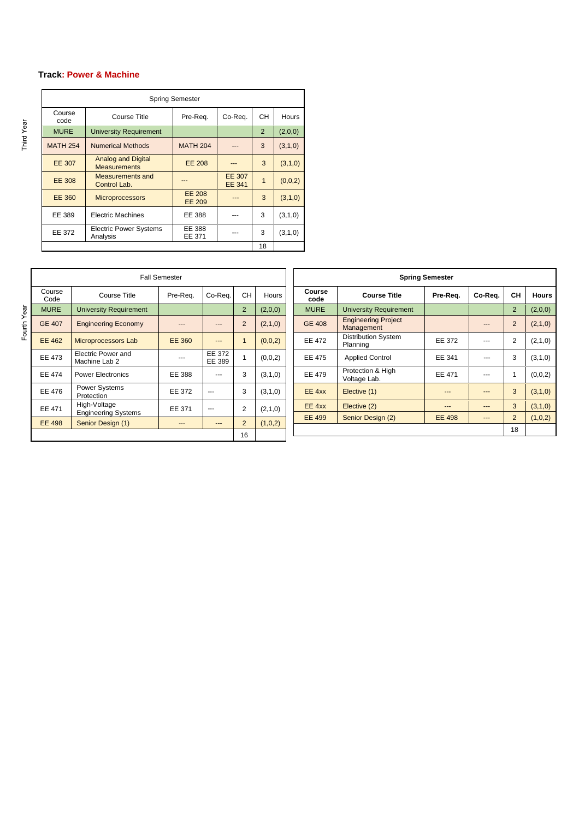#### **Track: Power & Machine**

|                 | <b>Spring Semester</b>                           |                  |                                |                |         |  |  |  |
|-----------------|--------------------------------------------------|------------------|--------------------------------|----------------|---------|--|--|--|
| Course<br>code  | <b>Course Title</b>                              | Pre-Req.         | Co-Req.                        | CН             | Hours   |  |  |  |
| <b>MURE</b>     | <b>University Requirement</b>                    |                  |                                | $\overline{2}$ | (2,0,0) |  |  |  |
| <b>MATH 254</b> | <b>Numerical Methods</b>                         | <b>MATH 204</b>  |                                | 3              | (3,1,0) |  |  |  |
| EE 307          | <b>Analog and Digital</b><br><b>Measurements</b> | <b>EE 208</b>    |                                | 3              | (3,1,0) |  |  |  |
| <b>EE 308</b>   | Measurements and<br>Control Lab.                 |                  | <b>EE 307</b><br><b>EE 341</b> | 1              | (0,0,2) |  |  |  |
| <b>EE 360</b>   | <b>Microprocessors</b>                           | EE 208<br>EE 209 |                                | 3              | (3,1,0) |  |  |  |
| EE 389          | <b>Electric Machines</b>                         | EE 388           |                                | 3              | (3,1,0) |  |  |  |
| EE 372          | <b>Electric Power Systems</b><br>Analysis        | EE 388<br>EE 371 |                                | 3              | (3,1,0) |  |  |  |
|                 |                                                  |                  |                                | 18             |         |  |  |  |

| <b>Fall Semester</b> |                                            |          |                  |               |              |  |  |
|----------------------|--------------------------------------------|----------|------------------|---------------|--------------|--|--|
| Course<br>Code       | Course Title                               | Pre-Req. | Co-Req.          | CH.           | <b>Hours</b> |  |  |
| <b>MURE</b>          | <b>University Requirement</b>              |          |                  | 2             | (2,0,0)      |  |  |
| <b>GE 407</b>        | <b>Engineering Economy</b>                 |          |                  | 2             | (2,1,0)      |  |  |
| EE 462               | Microprocessors Lab                        | EE 360   |                  | 1             | (0,0,2)      |  |  |
| EE 473               | Electric Power and<br>Machine Lab 2        |          | EE 372<br>EE 389 | 1             | (0,0,2)      |  |  |
| <b>EE 474</b>        | <b>Power Electronics</b>                   | EE 388   |                  | 3             | (3,1,0)      |  |  |
| EE 476               | Power Systems<br>Protection                | EE 372   |                  | 3             | (3,1,0)      |  |  |
| EE 471               | High-Voltage<br><b>Engineering Systems</b> | EE 371   |                  | 2             | (2,1,0)      |  |  |
| <b>EE 498</b>        | Senior Design (1)                          |          |                  | $\mathcal{P}$ | (1,0,2)      |  |  |
|                      |                                            |          |                  | 16            |              |  |  |

| <b>Spring Semester</b> |                                          |          |         |    |              |  |  |
|------------------------|------------------------------------------|----------|---------|----|--------------|--|--|
| Course<br>code         | <b>Course Title</b>                      | Pre-Req. | Co-Req. | CН | <b>Hours</b> |  |  |
| <b>MURE</b>            | <b>University Requirement</b>            |          |         | 2  | (2,0,0)      |  |  |
| <b>GE 408</b>          | <b>Engineering Project</b><br>Management |          |         | 2  | (2,1,0)      |  |  |
| <b>EE 472</b>          | <b>Distribution System</b><br>Planning   | EE 372   |         | 2  | (2,1,0)      |  |  |
| EE 475                 | <b>Applied Control</b>                   | EE 341   |         | 3  | (3,1,0)      |  |  |
| EE 479                 | Protection & High<br>Voltage Lab.        | EE 471   |         | 1  | (0,0,2)      |  |  |
| $EE$ 4xx               | Elective (1)                             |          |         | 3  | (3,1,0)      |  |  |
| EE 4xx                 | Elective (2)                             |          | ---     | 3  | (3,1,0)      |  |  |
| EE 499                 | Senior Design (2)                        | EE 498   | ---     | 2  | (1,0,2)      |  |  |
|                        |                                          |          |         | 18 |              |  |  |

Third Year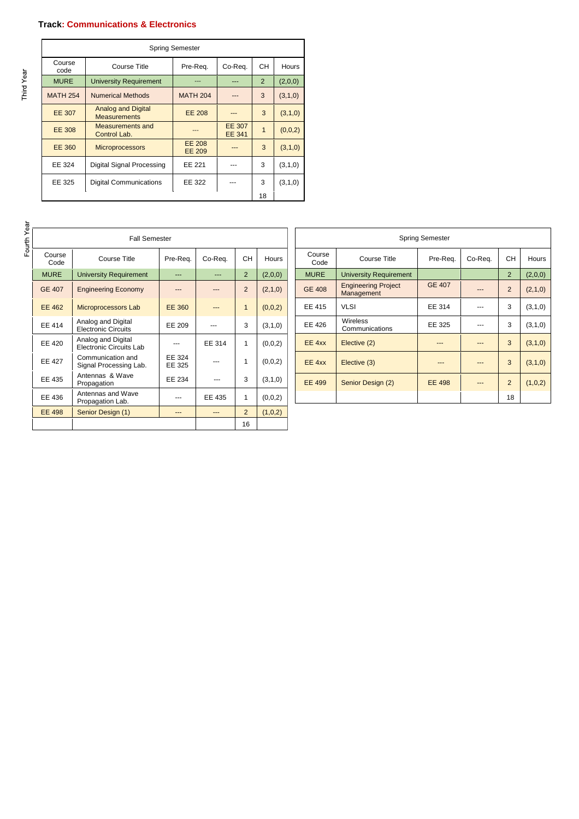#### **Track: Communications & Electronics**

| <b>Spring Semester</b> |                                                  |                                |                         |    |         |  |  |
|------------------------|--------------------------------------------------|--------------------------------|-------------------------|----|---------|--|--|
| Course<br>code         | Course Title                                     | Pre-Req.                       | Co-Req.                 | CН | Hours   |  |  |
| <b>MURE</b>            | <b>University Requirement</b>                    |                                |                         | 2  | (2,0,0) |  |  |
| <b>MATH 254</b>        | <b>Numerical Methods</b>                         | <b>MATH 204</b>                |                         | 3  | (3,1,0) |  |  |
| <b>EE 307</b>          | <b>Analog and Digital</b><br><b>Measurements</b> | <b>EE 208</b>                  |                         | 3  | (3,1,0) |  |  |
| <b>EE 308</b>          | Measurements and<br>Control Lab.                 |                                | <b>EE 307</b><br>EE 341 | 1  | (0,0,2) |  |  |
| EE 360                 | <b>Microprocessors</b>                           | <b>EE 208</b><br><b>EE 209</b> |                         | 3  | (3,1,0) |  |  |
| EE 324                 | Digital Signal Processing                        | EE 221                         |                         | 3  | (3,1,0) |  |  |
| EE 325                 | <b>Digital Communications</b>                    | EE 322                         |                         | 3  | (3,1,0) |  |  |
|                        |                                                  |                                |                         | 18 |         |  |  |

Fourth Year

Third Year

|                | <b>Fall Semester</b>                             |                  |         |                |         |  |  |  |  |
|----------------|--------------------------------------------------|------------------|---------|----------------|---------|--|--|--|--|
| Course<br>Code | Course Title                                     | Pre-Req.         | Co-Req. | CН             | Hours   |  |  |  |  |
| <b>MURE</b>    | <b>University Requirement</b>                    | ---              | ---     | 2              | (2,0,0) |  |  |  |  |
| <b>GE 407</b>  | <b>Engineering Economy</b>                       |                  |         | 2              | (2,1,0) |  |  |  |  |
| EE 462         | <b>Microprocessors Lab</b>                       | <b>EE 360</b>    |         | $\mathbf{1}$   | (0,0,2) |  |  |  |  |
| FF 414         | Analog and Digital<br><b>Electronic Circuits</b> | EE 209           |         | 3              | (3,1,0) |  |  |  |  |
| FF 420         | Analog and Digital<br>Electronic Circuits Lab    |                  | EE 314  | 1              | (0,0,2) |  |  |  |  |
| FF 427         | Communication and<br>Signal Processing Lab.      | EE 324<br>EE 325 |         | 1              | (0,0,2) |  |  |  |  |
| EE 435         | Antennas & Wave<br>Propagation                   | EE 234           |         | 3              | (3,1,0) |  |  |  |  |
| FF 436         | Antennas and Wave<br>Propagation Lab.            |                  | FF 435  | 1              | (0,0,2) |  |  |  |  |
| EE 498         | Senior Design (1)                                |                  |         | $\overline{2}$ | (1,0,2) |  |  |  |  |
|                |                                                  |                  |         | 16             |         |  |  |  |  |

| <b>Spring Semester</b> |                                          |               |         |                |         |
|------------------------|------------------------------------------|---------------|---------|----------------|---------|
| Course<br>Code         | Course Title                             | Pre-Req.      | Co-Req. | CН             | Hours   |
| <b>MURE</b>            | <b>University Requirement</b>            |               |         | $\overline{2}$ | (2,0,0) |
| <b>GE 408</b>          | <b>Engineering Project</b><br>Management | <b>GE 407</b> |         | 2              | (2,1,0) |
| EE 415                 | <b>VLSI</b>                              | EE 314        |         | 3              | (3,1,0) |
| EE 426                 | Wireless<br>Communications               | EE 325        |         | 3              | (3,1,0) |
| EE 4xx                 | Elective (2)                             |               |         | 3              | (3,1,0) |
| EE 4xx                 | Elective (3)                             |               |         | 3              | (3,1,0) |
| <b>EE 499</b>          | Senior Design (2)                        | <b>EE 498</b> |         | $\overline{2}$ | (1,0,2) |
|                        |                                          |               |         | 18             |         |